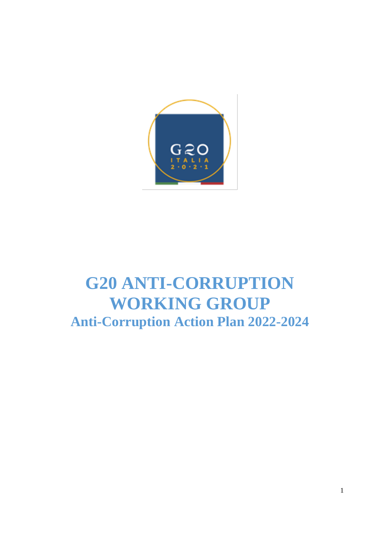

# **G20 ANTI-CORRUPTION WORKING GROUP Anti-Corruption Action Plan 2022-2024**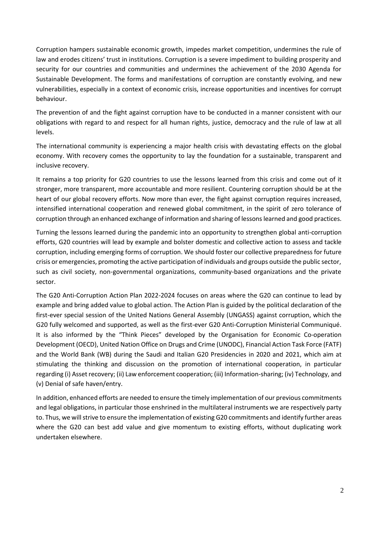Corruption hampers sustainable economic growth, impedes market competition, undermines the rule of law and erodes citizens' trust in institutions. Corruption is a severe impediment to building prosperity and security for our countries and communities and undermines the achievement of the 2030 Agenda for Sustainable Development. The forms and manifestations of corruption are constantly evolving, and new vulnerabilities, especially in a context of economic crisis, increase opportunities and incentives for corrupt behaviour.

The prevention of and the fight against corruption have to be conducted in a manner consistent with our obligations with regard to and respect for all human rights, justice, democracy and the rule of law at all levels.

The international community is experiencing a major health crisis with devastating effects on the global economy. With recovery comes the opportunity to lay the foundation for a sustainable, transparent and inclusive recovery.

It remains a top priority for G20 countries to use the lessons learned from this crisis and come out of it stronger, more transparent, more accountable and more resilient. Countering corruption should be at the heart of our global recovery efforts. Now more than ever, the fight against corruption requires increased, intensified international cooperation and renewed global commitment, in the spirit of zero tolerance of corruption through an enhanced exchange of information and sharing of lessons learned and good practices.

Turning the lessons learned during the pandemic into an opportunity to strengthen global anti-corruption efforts, G20 countries will lead by example and bolster domestic and collective action to assess and tackle corruption, including emerging forms of corruption. We should foster our collective preparedness for future crisis or emergencies, promoting the active participation of individuals and groups outside the public sector, such as civil society, non-governmental organizations, community-based organizations and the private sector.

The G20 Anti-Corruption Action Plan 2022-2024 focuses on areas where the G20 can continue to lead by example and bring added value to global action. The Action Plan is guided by the political declaration of the first-ever special session of the United Nations General Assembly (UNGASS) against corruption, which the G20 fully welcomed and supported, as well as the first-ever G20 Anti-Corruption Ministerial Communiqué. It is also informed by the "Think Pieces" developed by the Organisation for Economic Co-operation Development (OECD), United Nation Office on Drugs and Crime (UNODC), Financial Action Task Force (FATF) and the World Bank (WB) during the Saudi and Italian G20 Presidencies in 2020 and 2021, which aim at stimulating the thinking and discussion on the promotion of international cooperation, in particular regarding (i) Asset recovery; (ii) Law enforcement cooperation; (iii) Information-sharing; (iv) Technology, and (v) Denial of safe haven/entry.

In addition, enhanced efforts are needed to ensure the timely implementation of our previous commitments and legal obligations, in particular those enshrined in the multilateral instruments we are respectively party to. Thus, we will strive to ensure the implementation of existing G20 commitments and identify further areas where the G20 can best add value and give momentum to existing efforts, without duplicating work undertaken elsewhere.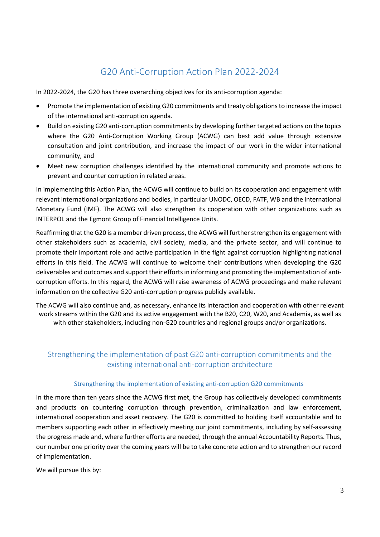# G20 Anti-Corruption Action Plan 2022-2024

In 2022-2024, the G20 has three overarching objectives for its anti-corruption agenda:

- Promote the implementation of existing G20 commitments and treaty obligations to increase the impact of the international anti-corruption agenda.
- Build on existing G20 anti-corruption commitments by developing further targeted actions on the topics where the G20 Anti-Corruption Working Group (ACWG) can best add value through extensive consultation and joint contribution, and increase the impact of our work in the wider international community, and
- Meet new corruption challenges identified by the international community and promote actions to prevent and counter corruption in related areas.

In implementing this Action Plan, the ACWG will continue to build on its cooperation and engagement with relevant international organizations and bodies, in particular UNODC, OECD, FATF, WB and the International Monetary Fund (IMF). The ACWG will also strengthen its cooperation with other organizations such as INTERPOL and the Egmont Group of Financial Intelligence Units.

Reaffirming that the G20 is a member driven process, the ACWG will further strengthen its engagement with other stakeholders such as academia, civil society, media, and the private sector, and will continue to promote their important role and active participation in the fight against corruption highlighting national efforts in this field. The ACWG will continue to welcome their contributions when developing the G20 deliverables and outcomes and support their efforts in informing and promoting the implementation of anticorruption efforts. In this regard, the ACWG will raise awareness of ACWG proceedings and make relevant information on the collective G20 anti-corruption progress publicly available.

The ACWG will also continue and, as necessary, enhance its interaction and cooperation with other relevant work streams within the G20 and its active engagement with the B20, C20, W20, and Academia, as well as with other stakeholders, including non-G20 countries and regional groups and/or organizations.

# Strengthening the implementation of past G20 anti-corruption commitments and the existing international anti-corruption architecture

### Strengthening the implementation of existing anti-corruption G20 commitments

In the more than ten years since the ACWG first met, the Group has collectively developed commitments and products on countering corruption through prevention, criminalization and law enforcement, international cooperation and asset recovery. The G20 is committed to holding itself accountable and to members supporting each other in effectively meeting our joint commitments, including by self-assessing the progress made and, where further efforts are needed, through the annual Accountability Reports. Thus, our number one priority over the coming years will be to take concrete action and to strengthen our record of implementation.

We will pursue this by: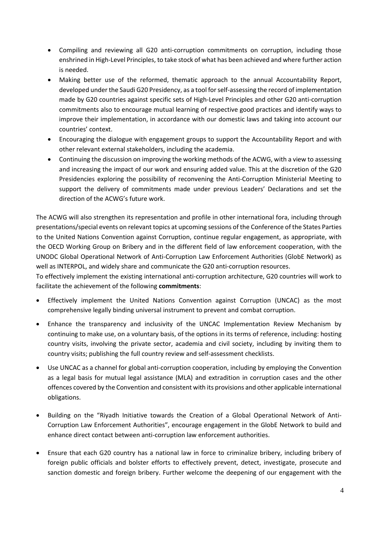- Compiling and reviewing all G20 anti-corruption commitments on corruption, including those enshrined in High-Level Principles, to take stock of what has been achieved and where further action is needed.
- Making better use of the reformed, thematic approach to the annual Accountability Report, developed under the Saudi G20 Presidency, as a tool for self-assessing the record of implementation made by G20 countries against specific sets of High-Level Principles and other G20 anti-corruption commitments also to encourage mutual learning of respective good practices and identify ways to improve their implementation, in accordance with our domestic laws and taking into account our countries' context.
- Encouraging the dialogue with engagement groups to support the Accountability Report and with other relevant external stakeholders, including the academia.
- Continuing the discussion on improving the working methods of the ACWG, with a view to assessing and increasing the impact of our work and ensuring added value. This at the discretion of the G20 Presidencies exploring the possibility of reconvening the Anti-Corruption Ministerial Meeting to support the delivery of commitments made under previous Leaders' Declarations and set the direction of the ACWG's future work.

The ACWG will also strengthen its representation and profile in other international fora, including through presentations/special events on relevant topics at upcoming sessions of the Conference of the States Parties to the United Nations Convention against Corruption, continue regular engagement, as appropriate, with the OECD Working Group on Bribery and in the different field of law enforcement cooperation, with the UNODC Global Operational Network of Anti-Corruption Law Enforcement Authorities (GlobE Network) as well as INTERPOL, and widely share and communicate the G20 anti-corruption resources.

To effectively implement the existing international anti-corruption architecture, G20 countries will work to facilitate the achievement of the following **commitments**:

- Effectively implement the United Nations Convention against Corruption (UNCAC) as the most comprehensive legally binding universal instrument to prevent and combat corruption.
- Enhance the transparency and inclusivity of the UNCAC Implementation Review Mechanism by continuing to make use, on a voluntary basis, of the options in its terms of reference, including: hosting country visits, involving the private sector, academia and civil society, including by inviting them to country visits; publishing the full country review and self-assessment checklists.
- Use UNCAC as a channel for global anti-corruption cooperation, including by employing the Convention as a legal basis for mutual legal assistance (MLA) and extradition in corruption cases and the other offences covered by the Convention and consistent with its provisions and other applicable international obligations.
- Building on the "Riyadh Initiative towards the Creation of a Global Operational Network of Anti-Corruption Law Enforcement Authorities", encourage engagement in the GlobE Network to build and enhance direct contact between anti-corruption law enforcement authorities.
- Ensure that each G20 country has a national law in force to criminalize bribery, including bribery of foreign public officials and bolster efforts to effectively prevent, detect, investigate, prosecute and sanction domestic and foreign bribery. Further welcome the deepening of our engagement with the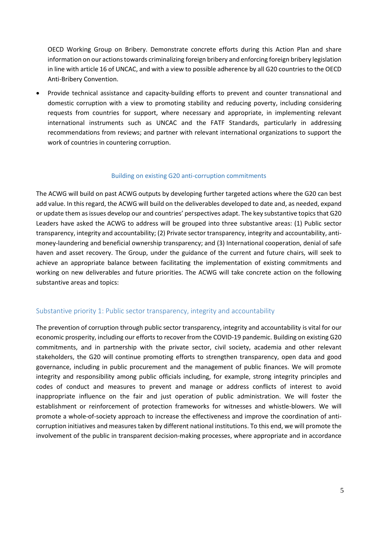OECD Working Group on Bribery. Demonstrate concrete efforts during this Action Plan and share information on our actions towards criminalizing foreign bribery and enforcing foreign bribery legislation in line with article 16 of UNCAC, and with a view to possible adherence by all G20 countries to the OECD Anti-Bribery Convention.

 Provide technical assistance and capacity-building efforts to prevent and counter transnational and domestic corruption with a view to promoting stability and reducing poverty, including considering requests from countries for support, where necessary and appropriate, in implementing relevant international instruments such as UNCAC and the FATF Standards, particularly in addressing recommendations from reviews; and partner with relevant international organizations to support the work of countries in countering corruption.

#### Building on existing G20 anti-corruption commitments

The ACWG will build on past ACWG outputs by developing further targeted actions where the G20 can best add value. In this regard, the ACWG will build on the deliverables developed to date and, as needed, expand or update them as issues develop our and countries' perspectives adapt. The key substantive topicsthat G20 Leaders have asked the ACWG to address will be grouped into three substantive areas: (1) Public sector transparency, integrity and accountability; (2) Private sector transparency, integrity and accountability, antimoney-laundering and beneficial ownership transparency; and (3) International cooperation, denial of safe haven and asset recovery. The Group, under the guidance of the current and future chairs, will seek to achieve an appropriate balance between facilitating the implementation of existing commitments and working on new deliverables and future priorities. The ACWG will take concrete action on the following substantive areas and topics:

### Substantive priority 1: Public sector transparency, integrity and accountability

The prevention of corruption through public sector transparency, integrity and accountability is vital for our economic prosperity, including our efforts to recover from the COVID-19 pandemic. Building on existing G20 commitments, and in partnership with the private sector, civil society, academia and other relevant stakeholders, the G20 will continue promoting efforts to strengthen transparency, open data and good governance, including in public procurement and the management of public finances. We will promote integrity and responsibility among public officials including, for example, strong integrity principles and codes of conduct and measures to prevent and manage or address conflicts of interest to avoid inappropriate influence on the fair and just operation of public administration. We will foster the establishment or reinforcement of protection frameworks for witnesses and whistle-blowers. We will promote a whole-of-society approach to increase the effectiveness and improve the coordination of anticorruption initiatives and measures taken by different national institutions. To this end, we will promote the involvement of the public in transparent decision-making processes, where appropriate and in accordance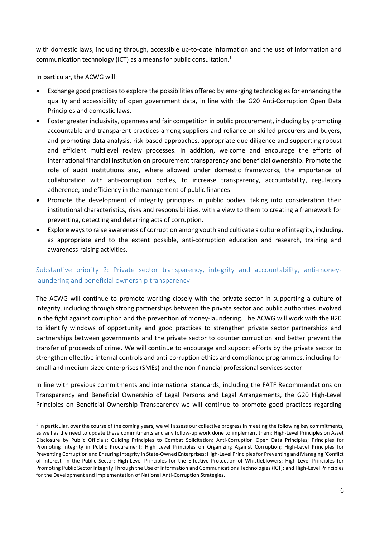with domestic laws, including through, accessible up-to-date information and the use of information and communication technology (ICT) as a means for public consultation. 1

In particular, the ACWG will:

- Exchange good practices to explore the possibilities offered by emerging technologies for enhancing the quality and accessibility of open government data, in line with the G20 Anti-Corruption Open Data Principles and domestic laws.
- Foster greater inclusivity, openness and fair competition in public procurement, including by promoting accountable and transparent practices among suppliers and reliance on skilled procurers and buyers, and promoting data analysis, risk-based approaches, appropriate due diligence and supporting robust and efficient multilevel review processes. In addition, welcome and encourage the efforts of international financial institution on procurement transparency and beneficial ownership. Promote the role of audit institutions and, where allowed under domestic frameworks, the importance of collaboration with anti-corruption bodies, to increase transparency, accountability, regulatory adherence, and efficiency in the management of public finances.
- Promote the development of integrity principles in public bodies, taking into consideration their institutional characteristics, risks and responsibilities, with a view to them to creating a framework for preventing, detecting and deterring acts of corruption.
- Explore ways to raise awareness of corruption among youth and cultivate a culture of integrity, including, as appropriate and to the extent possible, anti-corruption education and research, training and awareness-raising activities.

# Substantive priority 2: Private sector transparency, integrity and accountability, anti-moneylaundering and beneficial ownership transparency

The ACWG will continue to promote working closely with the private sector in supporting a culture of integrity, including through strong partnerships between the private sector and public authorities involved in the fight against corruption and the prevention of money-laundering. The ACWG will work with the B20 to identify windows of opportunity and good practices to strengthen private sector partnerships and partnerships between governments and the private sector to counter corruption and better prevent the transfer of proceeds of crime. We will continue to encourage and support efforts by the private sector to strengthen effective internal controls and anti-corruption ethics and compliance programmes, including for small and medium sized enterprises (SMEs) and the non-financial professional services sector.

In line with previous commitments and international standards, including the FATF Recommendations on Transparency and Beneficial Ownership of Legal Persons and Legal Arrangements, the G20 High-Level Principles on Beneficial Ownership Transparency we will continue to promote good practices regarding

<sup>&</sup>lt;sup>1</sup> In particular, over the course of the coming years, we will assess our collective progress in meeting the following key commitments, as well as the need to update these commitments and any follow-up work done to implement them: High-Level Principles on Asset Disclosure by Public Officials; Guiding Principles to Combat Solicitation; Anti-Corruption Open Data Principles; Principles for Promoting Integrity in Public Procurement; High Level Principles on Organizing Against Corruption; High-Level Principles for Preventing Corruption and Ensuring Integrity in State-Owned Enterprises; High-Level Principles for Preventing and Managing 'Conflict of Interest' in the Public Sector; High-Level Principles for the Effective Protection of Whistleblowers; High-Level Principles for Promoting Public Sector Integrity Through the Use of Information and Communications Technologies (ICT); and High-Level Principles for the Development and Implementation of National Anti-Corruption Strategies.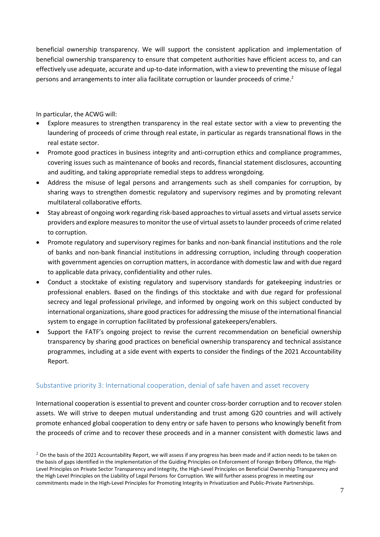beneficial ownership transparency. We will support the consistent application and implementation of beneficial ownership transparency to ensure that competent authorities have efficient access to, and can effectively use adequate, accurate and up-to-date information, with a view to preventing the misuse of legal persons and arrangements to inter alia facilitate corruption or launder proceeds of crime.<sup>2</sup>

In particular, the ACWG will:

- Explore measures to strengthen transparency in the real estate sector with a view to preventing the laundering of proceeds of crime through real estate, in particular as regards transnational flows in the real estate sector.
- Promote good practices in business integrity and anti-corruption ethics and compliance programmes, covering issues such as maintenance of books and records, financial statement disclosures, accounting and auditing, and taking appropriate remedial steps to address wrongdoing.
- Address the misuse of legal persons and arrangements such as shell companies for corruption, by sharing ways to strengthen domestic regulatory and supervisory regimes and by promoting relevant multilateral collaborative efforts.
- Stay abreast of ongoing work regarding risk-based approaches to virtual assets and virtual assets service providers and explore measures to monitor the use of virtual assets to launder proceeds of crime related to corruption.
- Promote regulatory and supervisory regimes for banks and non-bank financial institutions and the role of banks and non-bank financial institutions in addressing corruption, including through cooperation with government agencies on corruption matters, in accordance with domestic law and with due regard to applicable data privacy, confidentiality and other rules.
- Conduct a stocktake of existing regulatory and supervisory standards for gatekeeping industries or professional enablers. Based on the findings of this stocktake and with due regard for professional secrecy and legal professional privilege, and informed by ongoing work on this subject conducted by international organizations, share good practices for addressing the misuse of the international financial system to engage in corruption facilitated by professional gatekeepers/enablers.
- Support the FATF's ongoing project to revise the current recommendation on beneficial ownership transparency by sharing good practices on beneficial ownership transparency and technical assistance programmes, including at a side event with experts to consider the findings of the 2021 Accountability Report.

# Substantive priority 3: International cooperation, denial of safe haven and asset recovery

International cooperation is essential to prevent and counter cross-border corruption and to recover stolen assets. We will strive to deepen mutual understanding and trust among G20 countries and will actively promote enhanced global cooperation to deny entry or safe haven to persons who knowingly benefit from the proceeds of crime and to recover these proceeds and in a manner consistent with domestic laws and

 $2$  On the basis of the 2021 Accountability Report, we will assess if any progress has been made and if action needs to be taken on the basis of gaps identified in the implementation of the Guiding Principles on Enforcement of Foreign Bribery Offence, the High-Level Principles on Private Sector Transparency and Integrity, the High-Level Principles on Beneficial Ownership Transparency and the High Level Principles on the Liability of Legal Persons for Corruption. We will further assess progress in meeting our commitments made in the High-Level Principles for Promoting Integrity in Privatization and Public-Private Partnerships.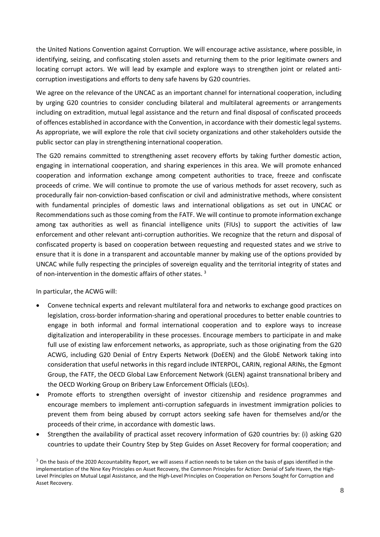the United Nations Convention against Corruption. We will encourage active assistance, where possible, in identifying, seizing, and confiscating stolen assets and returning them to the prior legitimate owners and locating corrupt actors. We will lead by example and explore ways to strengthen joint or related anticorruption investigations and efforts to deny safe havens by G20 countries.

We agree on the relevance of the UNCAC as an important channel for international cooperation, including by urging G20 countries to consider concluding bilateral and multilateral agreements or arrangements including on extradition, mutual legal assistance and the return and final disposal of confiscated proceeds of offences established in accordance with the Convention, in accordance with their domestic legal systems. As appropriate, we will explore the role that civil society organizations and other stakeholders outside the public sector can play in strengthening international cooperation.

The G20 remains committed to strengthening asset recovery efforts by taking further domestic action, engaging in international cooperation, and sharing experiences in this area. We will promote enhanced cooperation and information exchange among competent authorities to trace, freeze and confiscate proceeds of crime. We will continue to promote the use of various methods for asset recovery, such as procedurally fair non-conviction-based confiscation or civil and administrative methods, where consistent with fundamental principles of domestic laws and international obligations as set out in UNCAC or Recommendations such as those coming from the FATF. We will continue to promote information exchange among tax authorities as well as financial intelligence units (FIUs) to support the activities of law enforcement and other relevant anti-corruption authorities. We recognize that the return and disposal of confiscated property is based on cooperation between requesting and requested states and we strive to ensure that it is done in a transparent and accountable manner by making use of the options provided by UNCAC while fully respecting the principles of sovereign equality and the territorial integrity of states and of non-intervention in the domestic affairs of other states.<sup>3</sup>

In particular, the ACWG will:

- Convene technical experts and relevant multilateral fora and networks to exchange good practices on legislation, cross-border information-sharing and operational procedures to better enable countries to engage in both informal and formal international cooperation and to explore ways to increase digitalization and interoperability in these processes. Encourage members to participate in and make full use of existing law enforcement networks, as appropriate, such as those originating from the G20 ACWG, including G20 Denial of Entry Experts Network (DoEEN) and the GlobE Network taking into consideration that useful networks in this regard include INTERPOL, CARIN, regional ARINs, the Egmont Group, the FATF, the OECD Global Law Enforcement Network (GLEN) against transnational bribery and the OECD Working Group on Bribery Law Enforcement Officials (LEOs).
- Promote efforts to strengthen oversight of investor citizenship and residence programmes and encourage members to implement anti-corruption safeguards in investment immigration policies to prevent them from being abused by corrupt actors seeking safe haven for themselves and/or the proceeds of their crime, in accordance with domestic laws.
- Strengthen the availability of practical asset recovery information of G20 countries by: (i) asking G20 countries to update their Country Step by Step Guides on Asset Recovery for formal cooperation; and

 $3$  On the basis of the 2020 Accountability Report, we will assess if action needs to be taken on the basis of gaps identified in the implementation of the Nine Key Principles on Asset Recovery, the Common Principles for Action: Denial of Safe Haven, the High-Level Principles on Mutual Legal Assistance, and the High-Level Principles on Cooperation on Persons Sought for Corruption and Asset Recovery.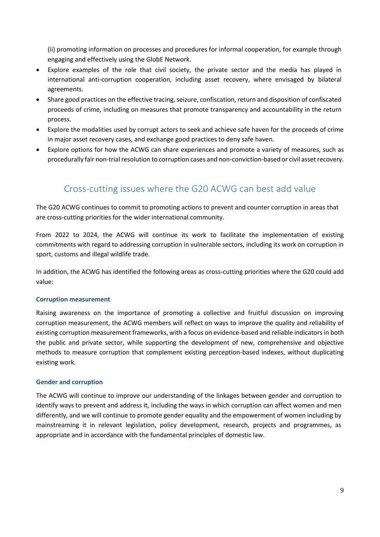(ii) promoting information on processes and procedures for informal cooperation, for example through engaging and effectively using the GlobE Network.

- Explore examples of the role that civil society, the private sector and the media has played in international anti-corruption cooperation, including asset recovery, where envisaged by bilateral agreements.
- Share good practices on the effective tracing, seizure, confiscation, return and disposition of confiscated proceeds of crime, including on measures that promote transparency and accountability in the return process.
- Explore the modalities used by corrupt actors to seek and achieve safe haven for the proceeds of crime in major asset recovery cases, and exchange good practices to deny safe haven.
- Explore options for how the ACWG can share experiences and promote a variety of measures, such as procedurally fair non-trial resolution to corruption cases and non-conviction-based or civil asset recovery.

# Cross-cutting issues where the G20 ACWG can best add value

The G20 ACWG continues to commit to promoting actions to prevent and counter corruption in areas that are cross-cutting priorities for the wider international community.

From 2022 to 2024, the ACWG will continue its work to facilitate the implementation of existing commitments with regard to addressing corruption in vulnerable sectors, including its work on corruption in sport, customs and illegal wildlife trade.

In addition, the ACWG has identified the following areas as cross-cutting priorities where the G20 could add value:

# **Corruption measurement**

Raising awareness on the importance of promoting a collective and fruitful discussion on improving corruption measurement, the ACWG members will reflect on ways to improve the quality and reliability of existing corruption measurement frameworks, with a focus on evidence-based and reliable indicators in both the public and private sector, while supporting the development of new, comprehensive and objective methods to measure corruption that complement existing perception-based indexes, without duplicating existing work.

# **Gender and corruption**

The ACWG will continue to improve our understanding of the linkages between gender and corruption to identify ways to prevent and address it, including the ways in which corruption can affect women and men differently, and we will continue to promote gender equality and the empowerment of women including by mainstreaming it in relevant legislation, policy development, research, projects and programmes, as appropriate and in accordance with the fundamental principles of domestic law.